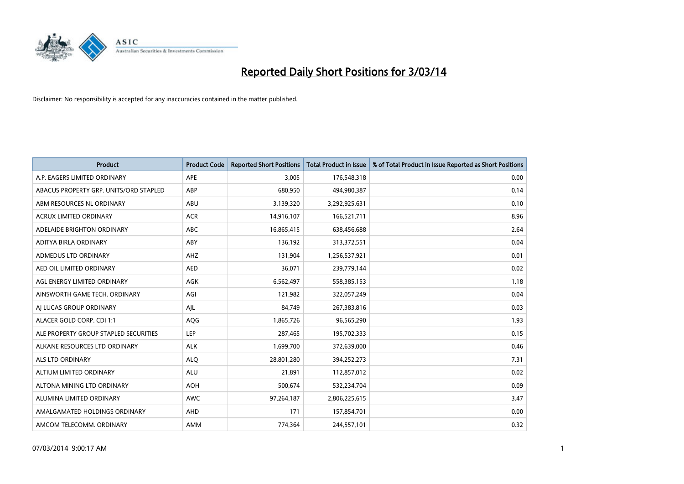

| <b>Product</b>                         | <b>Product Code</b> | <b>Reported Short Positions</b> | <b>Total Product in Issue</b> | % of Total Product in Issue Reported as Short Positions |
|----------------------------------------|---------------------|---------------------------------|-------------------------------|---------------------------------------------------------|
| A.P. EAGERS LIMITED ORDINARY           | APE                 | 3,005                           | 176,548,318                   | 0.00                                                    |
| ABACUS PROPERTY GRP. UNITS/ORD STAPLED | ABP                 | 680,950                         | 494,980,387                   | 0.14                                                    |
| ABM RESOURCES NL ORDINARY              | ABU                 | 3,139,320                       | 3,292,925,631                 | 0.10                                                    |
| ACRUX LIMITED ORDINARY                 | <b>ACR</b>          | 14,916,107                      | 166,521,711                   | 8.96                                                    |
| ADELAIDE BRIGHTON ORDINARY             | <b>ABC</b>          | 16,865,415                      | 638,456,688                   | 2.64                                                    |
| ADITYA BIRLA ORDINARY                  | ABY                 | 136,192                         | 313,372,551                   | 0.04                                                    |
| ADMEDUS LTD ORDINARY                   | AHZ                 | 131,904                         | 1,256,537,921                 | 0.01                                                    |
| AED OIL LIMITED ORDINARY               | <b>AED</b>          | 36,071                          | 239,779,144                   | 0.02                                                    |
| AGL ENERGY LIMITED ORDINARY            | <b>AGK</b>          | 6,562,497                       | 558,385,153                   | 1.18                                                    |
| AINSWORTH GAME TECH. ORDINARY          | AGI                 | 121,982                         | 322,057,249                   | 0.04                                                    |
| AI LUCAS GROUP ORDINARY                | AJL                 | 84,749                          | 267,383,816                   | 0.03                                                    |
| ALACER GOLD CORP. CDI 1:1              | AQG                 | 1,865,726                       | 96,565,290                    | 1.93                                                    |
| ALE PROPERTY GROUP STAPLED SECURITIES  | <b>LEP</b>          | 287,465                         | 195,702,333                   | 0.15                                                    |
| ALKANE RESOURCES LTD ORDINARY          | <b>ALK</b>          | 1,699,700                       | 372,639,000                   | 0.46                                                    |
| ALS LTD ORDINARY                       | <b>ALQ</b>          | 28,801,280                      | 394,252,273                   | 7.31                                                    |
| ALTIUM LIMITED ORDINARY                | <b>ALU</b>          | 21,891                          | 112,857,012                   | 0.02                                                    |
| ALTONA MINING LTD ORDINARY             | <b>AOH</b>          | 500,674                         | 532,234,704                   | 0.09                                                    |
| ALUMINA LIMITED ORDINARY               | <b>AWC</b>          | 97,264,187                      | 2,806,225,615                 | 3.47                                                    |
| AMALGAMATED HOLDINGS ORDINARY          | AHD                 | 171                             | 157,854,701                   | 0.00                                                    |
| AMCOM TELECOMM. ORDINARY               | AMM                 | 774,364                         | 244,557,101                   | 0.32                                                    |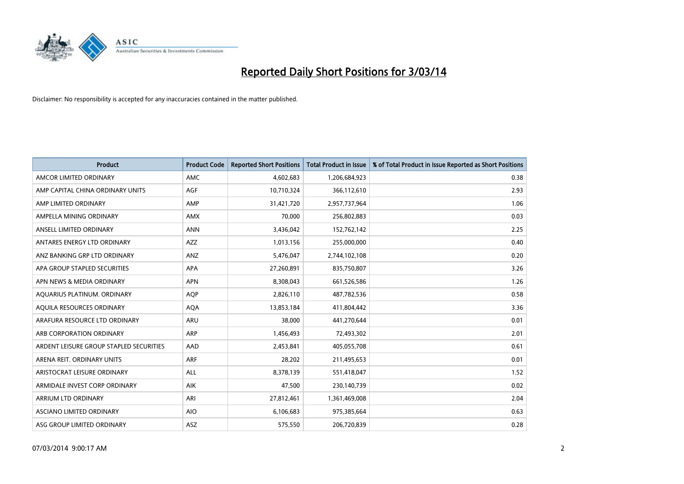

| <b>Product</b>                          | <b>Product Code</b> | <b>Reported Short Positions</b> | <b>Total Product in Issue</b> | % of Total Product in Issue Reported as Short Positions |
|-----------------------------------------|---------------------|---------------------------------|-------------------------------|---------------------------------------------------------|
| AMCOR LIMITED ORDINARY                  | AMC                 | 4,602,683                       | 1,206,684,923                 | 0.38                                                    |
| AMP CAPITAL CHINA ORDINARY UNITS        | AGF                 | 10,710,324                      | 366,112,610                   | 2.93                                                    |
| AMP LIMITED ORDINARY                    | AMP                 | 31,421,720                      | 2,957,737,964                 | 1.06                                                    |
| AMPELLA MINING ORDINARY                 | <b>AMX</b>          | 70,000                          | 256,802,883                   | 0.03                                                    |
| ANSELL LIMITED ORDINARY                 | <b>ANN</b>          | 3,436,042                       | 152,762,142                   | 2.25                                                    |
| ANTARES ENERGY LTD ORDINARY             | <b>AZZ</b>          | 1,013,156                       | 255,000,000                   | 0.40                                                    |
| ANZ BANKING GRP LTD ORDINARY            | ANZ                 | 5,476,047                       | 2,744,102,108                 | 0.20                                                    |
| APA GROUP STAPLED SECURITIES            | APA                 | 27,260,891                      | 835,750,807                   | 3.26                                                    |
| APN NEWS & MEDIA ORDINARY               | <b>APN</b>          | 8,308,043                       | 661,526,586                   | 1.26                                                    |
| AQUARIUS PLATINUM. ORDINARY             | <b>AOP</b>          | 2,826,110                       | 487,782,536                   | 0.58                                                    |
| AQUILA RESOURCES ORDINARY               | <b>AQA</b>          | 13,853,184                      | 411,804,442                   | 3.36                                                    |
| ARAFURA RESOURCE LTD ORDINARY           | <b>ARU</b>          | 38,000                          | 441,270,644                   | 0.01                                                    |
| ARB CORPORATION ORDINARY                | ARP                 | 1,456,493                       | 72,493,302                    | 2.01                                                    |
| ARDENT LEISURE GROUP STAPLED SECURITIES | AAD                 | 2,453,841                       | 405,055,708                   | 0.61                                                    |
| ARENA REIT. ORDINARY UNITS              | <b>ARF</b>          | 28,202                          | 211,495,653                   | 0.01                                                    |
| ARISTOCRAT LEISURE ORDINARY             | ALL                 | 8,378,139                       | 551,418,047                   | 1.52                                                    |
| ARMIDALE INVEST CORP ORDINARY           | AIK                 | 47,500                          | 230,140,739                   | 0.02                                                    |
| <b>ARRIUM LTD ORDINARY</b>              | <b>ARI</b>          | 27,812,461                      | 1,361,469,008                 | 2.04                                                    |
| ASCIANO LIMITED ORDINARY                | <b>AIO</b>          | 6,106,683                       | 975,385,664                   | 0.63                                                    |
| ASG GROUP LIMITED ORDINARY              | ASZ                 | 575,550                         | 206,720,839                   | 0.28                                                    |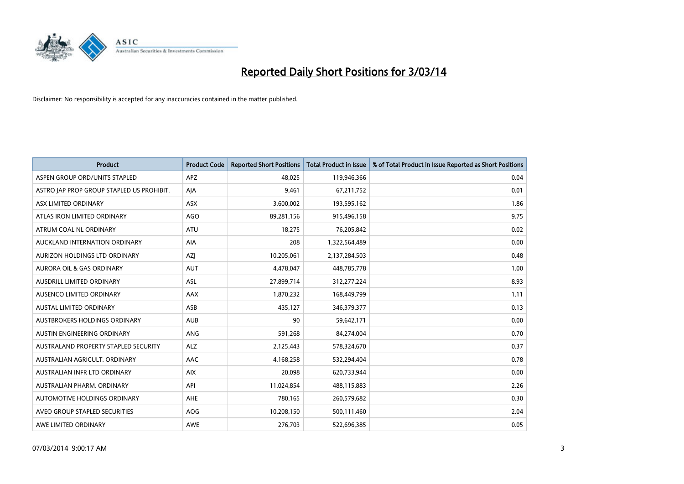

| <b>Product</b>                            | <b>Product Code</b> | <b>Reported Short Positions</b> | <b>Total Product in Issue</b> | % of Total Product in Issue Reported as Short Positions |
|-------------------------------------------|---------------------|---------------------------------|-------------------------------|---------------------------------------------------------|
| ASPEN GROUP ORD/UNITS STAPLED             | <b>APZ</b>          | 48.025                          | 119,946,366                   | 0.04                                                    |
| ASTRO JAP PROP GROUP STAPLED US PROHIBIT. | AJA                 | 9,461                           | 67,211,752                    | 0.01                                                    |
| ASX LIMITED ORDINARY                      | <b>ASX</b>          | 3,600,002                       | 193,595,162                   | 1.86                                                    |
| ATLAS IRON LIMITED ORDINARY               | AGO                 | 89,281,156                      | 915,496,158                   | 9.75                                                    |
| ATRUM COAL NL ORDINARY                    | ATU                 | 18,275                          | 76,205,842                    | 0.02                                                    |
| AUCKLAND INTERNATION ORDINARY             | <b>AIA</b>          | 208                             | 1,322,564,489                 | 0.00                                                    |
| AURIZON HOLDINGS LTD ORDINARY             | AZJ                 | 10,205,061                      | 2,137,284,503                 | 0.48                                                    |
| <b>AURORA OIL &amp; GAS ORDINARY</b>      | <b>AUT</b>          | 4,478,047                       | 448,785,778                   | 1.00                                                    |
| AUSDRILL LIMITED ORDINARY                 | ASL                 | 27,899,714                      | 312,277,224                   | 8.93                                                    |
| AUSENCO LIMITED ORDINARY                  | AAX                 | 1,870,232                       | 168,449,799                   | 1.11                                                    |
| AUSTAL LIMITED ORDINARY                   | ASB                 | 435,127                         | 346,379,377                   | 0.13                                                    |
| AUSTBROKERS HOLDINGS ORDINARY             | <b>AUB</b>          | 90                              | 59,642,171                    | 0.00                                                    |
| AUSTIN ENGINEERING ORDINARY               | ANG                 | 591,268                         | 84,274,004                    | 0.70                                                    |
| AUSTRALAND PROPERTY STAPLED SECURITY      | <b>ALZ</b>          | 2,125,443                       | 578,324,670                   | 0.37                                                    |
| AUSTRALIAN AGRICULT, ORDINARY             | AAC                 | 4,168,258                       | 532,294,404                   | 0.78                                                    |
| AUSTRALIAN INFR LTD ORDINARY              | <b>AIX</b>          | 20,098                          | 620,733,944                   | 0.00                                                    |
| AUSTRALIAN PHARM. ORDINARY                | API                 | 11,024,854                      | 488,115,883                   | 2.26                                                    |
| AUTOMOTIVE HOLDINGS ORDINARY              | AHE                 | 780,165                         | 260,579,682                   | 0.30                                                    |
| AVEO GROUP STAPLED SECURITIES             | <b>AOG</b>          | 10,208,150                      | 500,111,460                   | 2.04                                                    |
| AWE LIMITED ORDINARY                      | AWE                 | 276,703                         | 522,696,385                   | 0.05                                                    |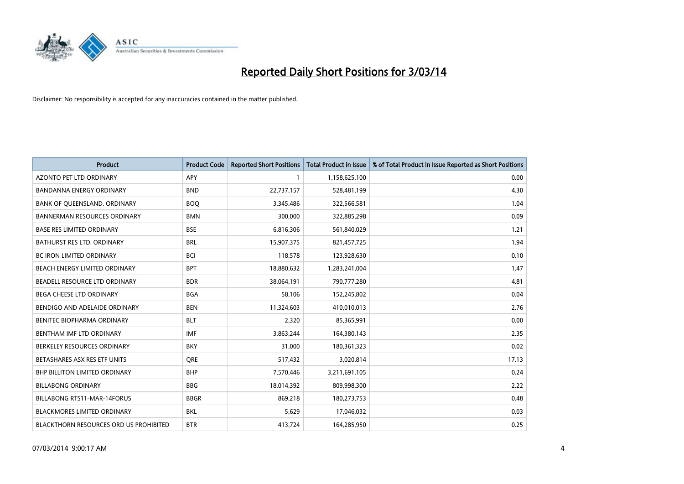

| <b>Product</b>                         | <b>Product Code</b> | <b>Reported Short Positions</b> | <b>Total Product in Issue</b> | % of Total Product in Issue Reported as Short Positions |
|----------------------------------------|---------------------|---------------------------------|-------------------------------|---------------------------------------------------------|
| <b>AZONTO PET LTD ORDINARY</b>         | APY                 | 1                               | 1,158,625,100                 | 0.00                                                    |
| BANDANNA ENERGY ORDINARY               | <b>BND</b>          | 22,737,157                      | 528,481,199                   | 4.30                                                    |
| BANK OF QUEENSLAND. ORDINARY           | <b>BOQ</b>          | 3,345,486                       | 322,566,581                   | 1.04                                                    |
| <b>BANNERMAN RESOURCES ORDINARY</b>    | <b>BMN</b>          | 300,000                         | 322,885,298                   | 0.09                                                    |
| <b>BASE RES LIMITED ORDINARY</b>       | <b>BSE</b>          | 6,816,306                       | 561,840,029                   | 1.21                                                    |
| <b>BATHURST RES LTD. ORDINARY</b>      | <b>BRL</b>          | 15,907,375                      | 821,457,725                   | 1.94                                                    |
| <b>BC IRON LIMITED ORDINARY</b>        | <b>BCI</b>          | 118,578                         | 123,928,630                   | 0.10                                                    |
| BEACH ENERGY LIMITED ORDINARY          | <b>BPT</b>          | 18,880,632                      | 1,283,241,004                 | 1.47                                                    |
| BEADELL RESOURCE LTD ORDINARY          | <b>BDR</b>          | 38,064,191                      | 790,777,280                   | 4.81                                                    |
| <b>BEGA CHEESE LTD ORDINARY</b>        | <b>BGA</b>          | 58,106                          | 152,245,802                   | 0.04                                                    |
| BENDIGO AND ADELAIDE ORDINARY          | <b>BEN</b>          | 11,324,603                      | 410,010,013                   | 2.76                                                    |
| BENITEC BIOPHARMA ORDINARY             | <b>BLT</b>          | 2,320                           | 85,365,991                    | 0.00                                                    |
| BENTHAM IMF LTD ORDINARY               | <b>IMF</b>          | 3,863,244                       | 164,380,143                   | 2.35                                                    |
| BERKELEY RESOURCES ORDINARY            | <b>BKY</b>          | 31,000                          | 180,361,323                   | 0.02                                                    |
| BETASHARES ASX RES ETF UNITS           | <b>ORE</b>          | 517,432                         | 3,020,814                     | 17.13                                                   |
| <b>BHP BILLITON LIMITED ORDINARY</b>   | <b>BHP</b>          | 7,570,446                       | 3,211,691,105                 | 0.24                                                    |
| <b>BILLABONG ORDINARY</b>              | <b>BBG</b>          | 18,014,392                      | 809,998,300                   | 2.22                                                    |
| <b>BILLABONG RTS11-MAR-14FORUS</b>     | <b>BBGR</b>         | 869,218                         | 180,273,753                   | 0.48                                                    |
| <b>BLACKMORES LIMITED ORDINARY</b>     | <b>BKL</b>          | 5,629                           | 17,046,032                    | 0.03                                                    |
| BLACKTHORN RESOURCES ORD US PROHIBITED | <b>BTR</b>          | 413,724                         | 164,285,950                   | 0.25                                                    |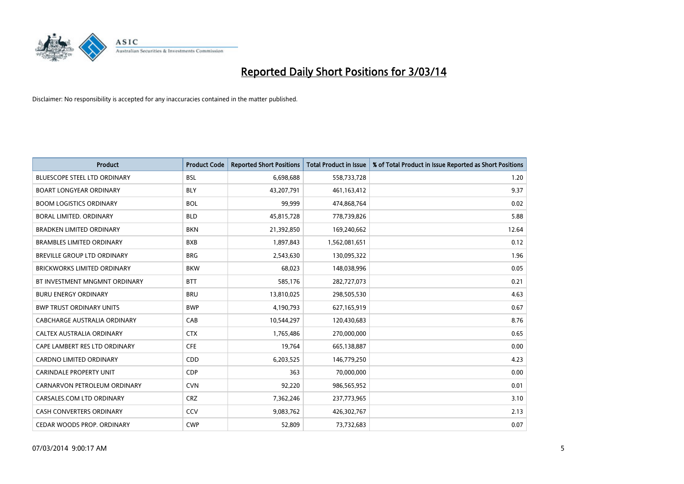

| <b>Product</b>                     | <b>Product Code</b> | <b>Reported Short Positions</b> | <b>Total Product in Issue</b> | % of Total Product in Issue Reported as Short Positions |
|------------------------------------|---------------------|---------------------------------|-------------------------------|---------------------------------------------------------|
| BLUESCOPE STEEL LTD ORDINARY       | <b>BSL</b>          | 6,698,688                       | 558,733,728                   | 1.20                                                    |
| <b>BOART LONGYEAR ORDINARY</b>     | <b>BLY</b>          | 43,207,791                      | 461, 163, 412                 | 9.37                                                    |
| <b>BOOM LOGISTICS ORDINARY</b>     | <b>BOL</b>          | 99,999                          | 474,868,764                   | 0.02                                                    |
| BORAL LIMITED. ORDINARY            | <b>BLD</b>          | 45,815,728                      | 778,739,826                   | 5.88                                                    |
| <b>BRADKEN LIMITED ORDINARY</b>    | <b>BKN</b>          | 21,392,850                      | 169,240,662                   | 12.64                                                   |
| <b>BRAMBLES LIMITED ORDINARY</b>   | <b>BXB</b>          | 1,897,843                       | 1,562,081,651                 | 0.12                                                    |
| BREVILLE GROUP LTD ORDINARY        | <b>BRG</b>          | 2,543,630                       | 130,095,322                   | 1.96                                                    |
| <b>BRICKWORKS LIMITED ORDINARY</b> | <b>BKW</b>          | 68,023                          | 148,038,996                   | 0.05                                                    |
| BT INVESTMENT MNGMNT ORDINARY      | <b>BTT</b>          | 585,176                         | 282,727,073                   | 0.21                                                    |
| <b>BURU ENERGY ORDINARY</b>        | <b>BRU</b>          | 13,810,025                      | 298,505,530                   | 4.63                                                    |
| <b>BWP TRUST ORDINARY UNITS</b>    | <b>BWP</b>          | 4,190,793                       | 627,165,919                   | 0.67                                                    |
| CABCHARGE AUSTRALIA ORDINARY       | CAB                 | 10,544,297                      | 120,430,683                   | 8.76                                                    |
| CALTEX AUSTRALIA ORDINARY          | <b>CTX</b>          | 1,765,486                       | 270,000,000                   | 0.65                                                    |
| CAPE LAMBERT RES LTD ORDINARY      | <b>CFE</b>          | 19,764                          | 665,138,887                   | 0.00                                                    |
| <b>CARDNO LIMITED ORDINARY</b>     | CDD                 | 6,203,525                       | 146,779,250                   | 4.23                                                    |
| <b>CARINDALE PROPERTY UNIT</b>     | <b>CDP</b>          | 363                             | 70,000,000                    | 0.00                                                    |
| CARNARVON PETROLEUM ORDINARY       | <b>CVN</b>          | 92,220                          | 986,565,952                   | 0.01                                                    |
| CARSALES.COM LTD ORDINARY          | <b>CRZ</b>          | 7,362,246                       | 237,773,965                   | 3.10                                                    |
| <b>CASH CONVERTERS ORDINARY</b>    | CCV                 | 9,083,762                       | 426,302,767                   | 2.13                                                    |
| CEDAR WOODS PROP. ORDINARY         | <b>CWP</b>          | 52,809                          | 73,732,683                    | 0.07                                                    |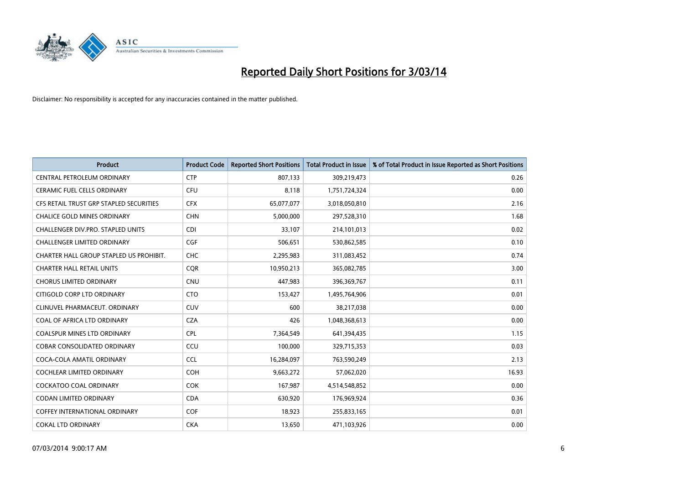

| <b>Product</b>                          | <b>Product Code</b> | <b>Reported Short Positions</b> | <b>Total Product in Issue</b> | % of Total Product in Issue Reported as Short Positions |
|-----------------------------------------|---------------------|---------------------------------|-------------------------------|---------------------------------------------------------|
| CENTRAL PETROLEUM ORDINARY              | <b>CTP</b>          | 807,133                         | 309,219,473                   | 0.26                                                    |
| CERAMIC FUEL CELLS ORDINARY             | <b>CFU</b>          | 8,118                           | 1,751,724,324                 | 0.00                                                    |
| CFS RETAIL TRUST GRP STAPLED SECURITIES | <b>CFX</b>          | 65,077,077                      | 3,018,050,810                 | 2.16                                                    |
| CHALICE GOLD MINES ORDINARY             | <b>CHN</b>          | 5,000,000                       | 297,528,310                   | 1.68                                                    |
| CHALLENGER DIV.PRO. STAPLED UNITS       | <b>CDI</b>          | 33,107                          | 214,101,013                   | 0.02                                                    |
| <b>CHALLENGER LIMITED ORDINARY</b>      | <b>CGF</b>          | 506,651                         | 530,862,585                   | 0.10                                                    |
| CHARTER HALL GROUP STAPLED US PROHIBIT. | <b>CHC</b>          | 2,295,983                       | 311,083,452                   | 0.74                                                    |
| <b>CHARTER HALL RETAIL UNITS</b>        | <b>COR</b>          | 10,950,213                      | 365,082,785                   | 3.00                                                    |
| <b>CHORUS LIMITED ORDINARY</b>          | <b>CNU</b>          | 447,983                         | 396,369,767                   | 0.11                                                    |
| CITIGOLD CORP LTD ORDINARY              | <b>CTO</b>          | 153,427                         | 1,495,764,906                 | 0.01                                                    |
| CLINUVEL PHARMACEUT. ORDINARY           | <b>CUV</b>          | 600                             | 38,217,038                    | 0.00                                                    |
| COAL OF AFRICA LTD ORDINARY             | <b>CZA</b>          | 426                             | 1,048,368,613                 | 0.00                                                    |
| COALSPUR MINES LTD ORDINARY             | <b>CPL</b>          | 7,364,549                       | 641,394,435                   | 1.15                                                    |
| <b>COBAR CONSOLIDATED ORDINARY</b>      | CCU                 | 100,000                         | 329,715,353                   | 0.03                                                    |
| COCA-COLA AMATIL ORDINARY               | <b>CCL</b>          | 16,284,097                      | 763,590,249                   | 2.13                                                    |
| COCHLEAR LIMITED ORDINARY               | <b>COH</b>          | 9,663,272                       | 57,062,020                    | 16.93                                                   |
| <b>COCKATOO COAL ORDINARY</b>           | <b>COK</b>          | 167,987                         | 4,514,548,852                 | 0.00                                                    |
| <b>CODAN LIMITED ORDINARY</b>           | <b>CDA</b>          | 630,920                         | 176,969,924                   | 0.36                                                    |
| <b>COFFEY INTERNATIONAL ORDINARY</b>    | <b>COF</b>          | 18,923                          | 255,833,165                   | 0.01                                                    |
| <b>COKAL LTD ORDINARY</b>               | <b>CKA</b>          | 13,650                          | 471,103,926                   | 0.00                                                    |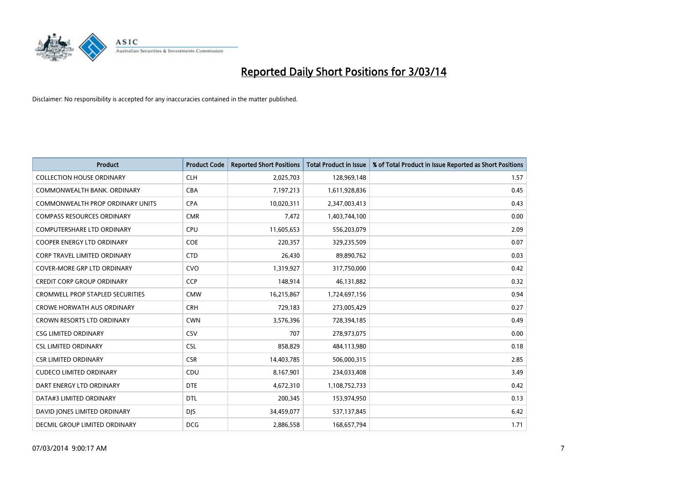

| <b>Product</b>                          | <b>Product Code</b> | <b>Reported Short Positions</b> | <b>Total Product in Issue</b> | % of Total Product in Issue Reported as Short Positions |
|-----------------------------------------|---------------------|---------------------------------|-------------------------------|---------------------------------------------------------|
| <b>COLLECTION HOUSE ORDINARY</b>        | <b>CLH</b>          | 2,025,703                       | 128,969,148                   | 1.57                                                    |
| COMMONWEALTH BANK, ORDINARY             | <b>CBA</b>          | 7,197,213                       | 1,611,928,836                 | 0.45                                                    |
| <b>COMMONWEALTH PROP ORDINARY UNITS</b> | <b>CPA</b>          | 10,020,311                      | 2,347,003,413                 | 0.43                                                    |
| <b>COMPASS RESOURCES ORDINARY</b>       | <b>CMR</b>          | 7,472                           | 1,403,744,100                 | 0.00                                                    |
| <b>COMPUTERSHARE LTD ORDINARY</b>       | <b>CPU</b>          | 11,605,653                      | 556,203,079                   | 2.09                                                    |
| <b>COOPER ENERGY LTD ORDINARY</b>       | <b>COE</b>          | 220,357                         | 329,235,509                   | 0.07                                                    |
| <b>CORP TRAVEL LIMITED ORDINARY</b>     | <b>CTD</b>          | 26,430                          | 89,890,762                    | 0.03                                                    |
| COVER-MORE GRP LTD ORDINARY             | <b>CVO</b>          | 1,319,927                       | 317,750,000                   | 0.42                                                    |
| <b>CREDIT CORP GROUP ORDINARY</b>       | <b>CCP</b>          | 148,914                         | 46,131,882                    | 0.32                                                    |
| <b>CROMWELL PROP STAPLED SECURITIES</b> | <b>CMW</b>          | 16,215,867                      | 1,724,697,156                 | 0.94                                                    |
| <b>CROWE HORWATH AUS ORDINARY</b>       | <b>CRH</b>          | 729,183                         | 273,005,429                   | 0.27                                                    |
| <b>CROWN RESORTS LTD ORDINARY</b>       | <b>CWN</b>          | 3,576,396                       | 728,394,185                   | 0.49                                                    |
| <b>CSG LIMITED ORDINARY</b>             | CSV                 | 707                             | 278,973,075                   | 0.00                                                    |
| <b>CSL LIMITED ORDINARY</b>             | <b>CSL</b>          | 858,829                         | 484,113,980                   | 0.18                                                    |
| <b>CSR LIMITED ORDINARY</b>             | <b>CSR</b>          | 14,403,785                      | 506,000,315                   | 2.85                                                    |
| <b>CUDECO LIMITED ORDINARY</b>          | CDU                 | 8,167,901                       | 234,033,408                   | 3.49                                                    |
| DART ENERGY LTD ORDINARY                | <b>DTE</b>          | 4,672,310                       | 1,108,752,733                 | 0.42                                                    |
| DATA#3 LIMITED ORDINARY                 | <b>DTL</b>          | 200,345                         | 153,974,950                   | 0.13                                                    |
| DAVID JONES LIMITED ORDINARY            | <b>DJS</b>          | 34,459,077                      | 537,137,845                   | 6.42                                                    |
| <b>DECMIL GROUP LIMITED ORDINARY</b>    | <b>DCG</b>          | 2,886,558                       | 168,657,794                   | 1.71                                                    |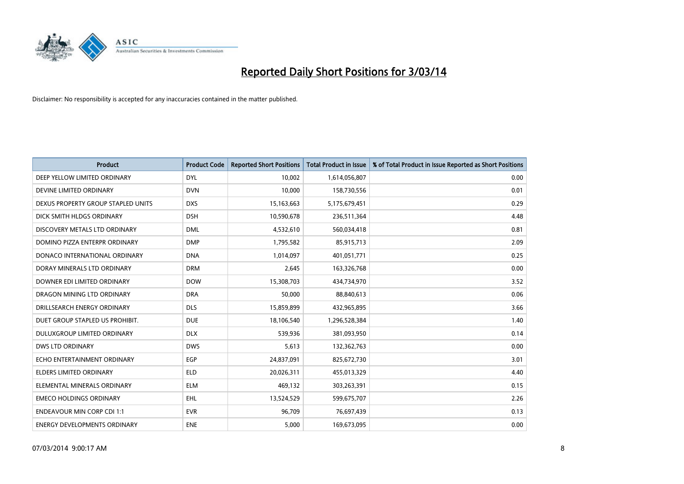

| <b>Product</b>                      | <b>Product Code</b> | <b>Reported Short Positions</b> | <b>Total Product in Issue</b> | % of Total Product in Issue Reported as Short Positions |
|-------------------------------------|---------------------|---------------------------------|-------------------------------|---------------------------------------------------------|
| DEEP YELLOW LIMITED ORDINARY        | <b>DYL</b>          | 10,002                          | 1,614,056,807                 | 0.00                                                    |
| DEVINE LIMITED ORDINARY             | <b>DVN</b>          | 10,000                          | 158,730,556                   | 0.01                                                    |
| DEXUS PROPERTY GROUP STAPLED UNITS  | <b>DXS</b>          | 15,163,663                      | 5,175,679,451                 | 0.29                                                    |
| DICK SMITH HLDGS ORDINARY           | <b>DSH</b>          | 10,590,678                      | 236,511,364                   | 4.48                                                    |
| DISCOVERY METALS LTD ORDINARY       | <b>DML</b>          | 4,532,610                       | 560,034,418                   | 0.81                                                    |
| DOMINO PIZZA ENTERPR ORDINARY       | <b>DMP</b>          | 1,795,582                       | 85,915,713                    | 2.09                                                    |
| DONACO INTERNATIONAL ORDINARY       | <b>DNA</b>          | 1,014,097                       | 401,051,771                   | 0.25                                                    |
| DORAY MINERALS LTD ORDINARY         | <b>DRM</b>          | 2,645                           | 163,326,768                   | 0.00                                                    |
| DOWNER EDI LIMITED ORDINARY         | <b>DOW</b>          | 15,308,703                      | 434,734,970                   | 3.52                                                    |
| DRAGON MINING LTD ORDINARY          | <b>DRA</b>          | 50,000                          | 88,840,613                    | 0.06                                                    |
| DRILLSEARCH ENERGY ORDINARY         | <b>DLS</b>          | 15,859,899                      | 432,965,895                   | 3.66                                                    |
| DUET GROUP STAPLED US PROHIBIT.     | <b>DUE</b>          | 18,106,540                      | 1,296,528,384                 | 1.40                                                    |
| DULUXGROUP LIMITED ORDINARY         | <b>DLX</b>          | 539,936                         | 381,093,950                   | 0.14                                                    |
| <b>DWS LTD ORDINARY</b>             | <b>DWS</b>          | 5,613                           | 132,362,763                   | 0.00                                                    |
| ECHO ENTERTAINMENT ORDINARY         | EGP                 | 24,837,091                      | 825,672,730                   | 3.01                                                    |
| ELDERS LIMITED ORDINARY             | <b>ELD</b>          | 20,026,311                      | 455,013,329                   | 4.40                                                    |
| ELEMENTAL MINERALS ORDINARY         | <b>ELM</b>          | 469,132                         | 303,263,391                   | 0.15                                                    |
| <b>EMECO HOLDINGS ORDINARY</b>      | <b>EHL</b>          | 13,524,529                      | 599,675,707                   | 2.26                                                    |
| <b>ENDEAVOUR MIN CORP CDI 1:1</b>   | <b>EVR</b>          | 96,709                          | 76,697,439                    | 0.13                                                    |
| <b>ENERGY DEVELOPMENTS ORDINARY</b> | <b>ENE</b>          | 5,000                           | 169,673,095                   | 0.00                                                    |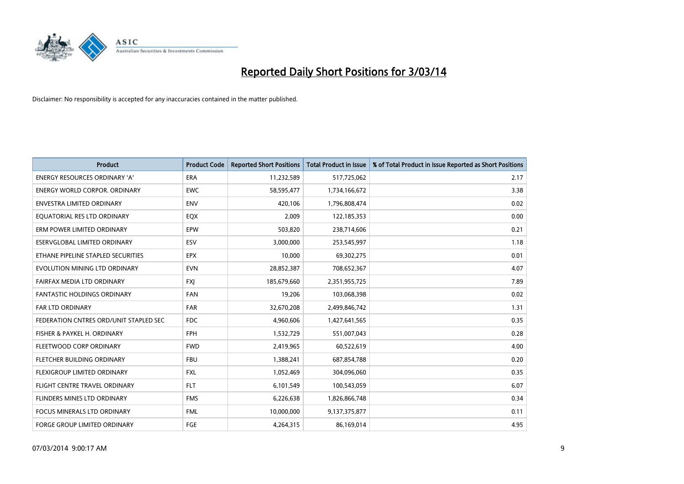

| <b>Product</b>                         | <b>Product Code</b> | <b>Reported Short Positions</b> | <b>Total Product in Issue</b> | % of Total Product in Issue Reported as Short Positions |
|----------------------------------------|---------------------|---------------------------------|-------------------------------|---------------------------------------------------------|
| <b>ENERGY RESOURCES ORDINARY 'A'</b>   | <b>ERA</b>          | 11,232,589                      | 517,725,062                   | 2.17                                                    |
| <b>ENERGY WORLD CORPOR. ORDINARY</b>   | <b>EWC</b>          | 58,595,477                      | 1,734,166,672                 | 3.38                                                    |
| <b>ENVESTRA LIMITED ORDINARY</b>       | <b>ENV</b>          | 420,106                         | 1,796,808,474                 | 0.02                                                    |
| EQUATORIAL RES LTD ORDINARY            | EQX                 | 2,009                           | 122,185,353                   | 0.00                                                    |
| ERM POWER LIMITED ORDINARY             | <b>EPW</b>          | 503,820                         | 238,714,606                   | 0.21                                                    |
| ESERVGLOBAL LIMITED ORDINARY           | ESV                 | 3,000,000                       | 253,545,997                   | 1.18                                                    |
| ETHANE PIPELINE STAPLED SECURITIES     | <b>EPX</b>          | 10,000                          | 69,302,275                    | 0.01                                                    |
| EVOLUTION MINING LTD ORDINARY          | <b>EVN</b>          | 28,852,387                      | 708,652,367                   | 4.07                                                    |
| FAIRFAX MEDIA LTD ORDINARY             | <b>FXI</b>          | 185,679,660                     | 2,351,955,725                 | 7.89                                                    |
| <b>FANTASTIC HOLDINGS ORDINARY</b>     | <b>FAN</b>          | 19,206                          | 103,068,398                   | 0.02                                                    |
| FAR LTD ORDINARY                       | FAR                 | 32,670,208                      | 2,499,846,742                 | 1.31                                                    |
| FEDERATION CNTRES ORD/UNIT STAPLED SEC | <b>FDC</b>          | 4,960,606                       | 1,427,641,565                 | 0.35                                                    |
| FISHER & PAYKEL H. ORDINARY            | <b>FPH</b>          | 1,532,729                       | 551,007,043                   | 0.28                                                    |
| FLEETWOOD CORP ORDINARY                | <b>FWD</b>          | 2,419,965                       | 60,522,619                    | 4.00                                                    |
| FLETCHER BUILDING ORDINARY             | <b>FBU</b>          | 1,388,241                       | 687,854,788                   | 0.20                                                    |
| FLEXIGROUP LIMITED ORDINARY            | <b>FXL</b>          | 1,052,469                       | 304,096,060                   | 0.35                                                    |
| FLIGHT CENTRE TRAVEL ORDINARY          | <b>FLT</b>          | 6,101,549                       | 100,543,059                   | 6.07                                                    |
| FLINDERS MINES LTD ORDINARY            | <b>FMS</b>          | 6,226,638                       | 1,826,866,748                 | 0.34                                                    |
| <b>FOCUS MINERALS LTD ORDINARY</b>     | <b>FML</b>          | 10,000,000                      | 9,137,375,877                 | 0.11                                                    |
| <b>FORGE GROUP LIMITED ORDINARY</b>    | FGE                 | 4,264,315                       | 86,169,014                    | 4.95                                                    |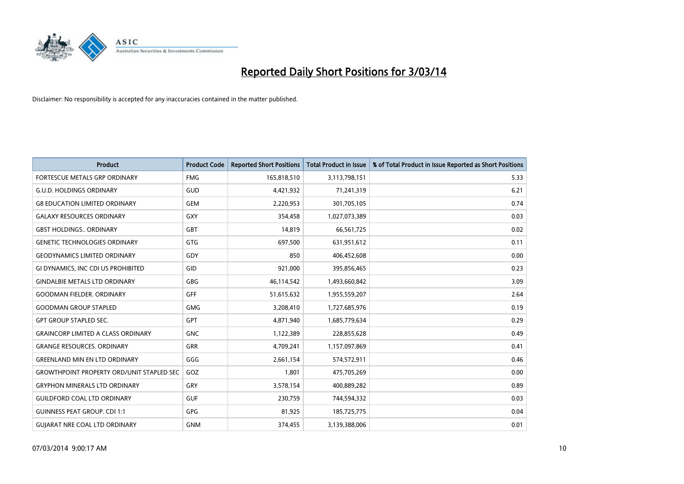

| <b>Product</b>                                   | <b>Product Code</b> | <b>Reported Short Positions</b> | <b>Total Product in Issue</b> | % of Total Product in Issue Reported as Short Positions |
|--------------------------------------------------|---------------------|---------------------------------|-------------------------------|---------------------------------------------------------|
| FORTESCUE METALS GRP ORDINARY                    | <b>FMG</b>          | 165,818,510                     | 3,113,798,151                 | 5.33                                                    |
| <b>G.U.D. HOLDINGS ORDINARY</b>                  | GUD                 | 4,421,932                       | 71,241,319                    | 6.21                                                    |
| <b>G8 EDUCATION LIMITED ORDINARY</b>             | <b>GEM</b>          | 2,220,953                       | 301,705,105                   | 0.74                                                    |
| <b>GALAXY RESOURCES ORDINARY</b>                 | <b>GXY</b>          | 354,458                         | 1,027,073,389                 | 0.03                                                    |
| <b>GBST HOLDINGS., ORDINARY</b>                  | GBT                 | 14,819                          | 66,561,725                    | 0.02                                                    |
| <b>GENETIC TECHNOLOGIES ORDINARY</b>             | <b>GTG</b>          | 697,500                         | 631,951,612                   | 0.11                                                    |
| <b>GEODYNAMICS LIMITED ORDINARY</b>              | <b>GDY</b>          | 850                             | 406,452,608                   | 0.00                                                    |
| GI DYNAMICS, INC CDI US PROHIBITED               | GID                 | 921,000                         | 395,856,465                   | 0.23                                                    |
| <b>GINDALBIE METALS LTD ORDINARY</b>             | GBG                 | 46,114,542                      | 1,493,660,842                 | 3.09                                                    |
| <b>GOODMAN FIELDER, ORDINARY</b>                 | GFF                 | 51,615,632                      | 1,955,559,207                 | 2.64                                                    |
| <b>GOODMAN GROUP STAPLED</b>                     | <b>GMG</b>          | 3,208,410                       | 1,727,685,976                 | 0.19                                                    |
| <b>GPT GROUP STAPLED SEC.</b>                    | GPT                 | 4,871,940                       | 1,685,779,634                 | 0.29                                                    |
| <b>GRAINCORP LIMITED A CLASS ORDINARY</b>        | <b>GNC</b>          | 1,122,389                       | 228,855,628                   | 0.49                                                    |
| <b>GRANGE RESOURCES, ORDINARY</b>                | <b>GRR</b>          | 4,709,241                       | 1,157,097,869                 | 0.41                                                    |
| <b>GREENLAND MIN EN LTD ORDINARY</b>             | GGG                 | 2,661,154                       | 574,572,911                   | 0.46                                                    |
| <b>GROWTHPOINT PROPERTY ORD/UNIT STAPLED SEC</b> | GOZ                 | 1,801                           | 475,705,269                   | 0.00                                                    |
| <b>GRYPHON MINERALS LTD ORDINARY</b>             | GRY                 | 3,578,154                       | 400,889,282                   | 0.89                                                    |
| <b>GUILDFORD COAL LTD ORDINARY</b>               | <b>GUF</b>          | 230,759                         | 744,594,332                   | 0.03                                                    |
| <b>GUINNESS PEAT GROUP. CDI 1:1</b>              | <b>GPG</b>          | 81,925                          | 185,725,775                   | 0.04                                                    |
| <b>GUIARAT NRE COAL LTD ORDINARY</b>             | <b>GNM</b>          | 374,455                         | 3,139,388,006                 | 0.01                                                    |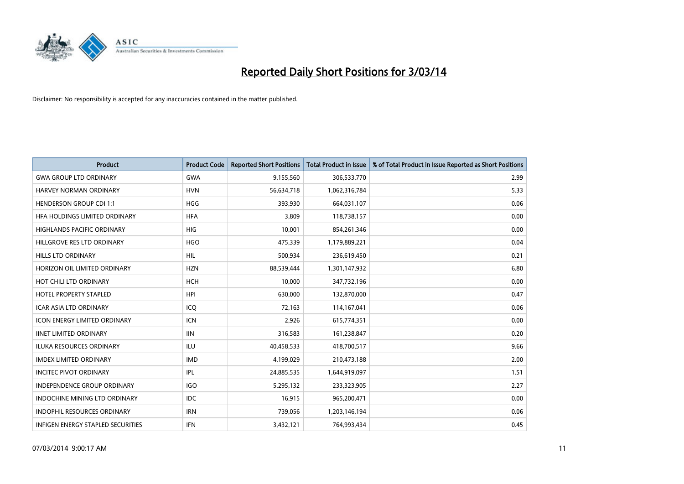

| Product                             | <b>Product Code</b> | <b>Reported Short Positions</b> | <b>Total Product in Issue</b> | % of Total Product in Issue Reported as Short Positions |
|-------------------------------------|---------------------|---------------------------------|-------------------------------|---------------------------------------------------------|
| <b>GWA GROUP LTD ORDINARY</b>       | <b>GWA</b>          | 9,155,560                       | 306,533,770                   | 2.99                                                    |
| HARVEY NORMAN ORDINARY              | <b>HVN</b>          | 56,634,718                      | 1,062,316,784                 | 5.33                                                    |
| <b>HENDERSON GROUP CDI 1:1</b>      | <b>HGG</b>          | 393,930                         | 664,031,107                   | 0.06                                                    |
| HFA HOLDINGS LIMITED ORDINARY       | <b>HFA</b>          | 3,809                           | 118,738,157                   | 0.00                                                    |
| <b>HIGHLANDS PACIFIC ORDINARY</b>   | <b>HIG</b>          | 10,001                          | 854,261,346                   | 0.00                                                    |
| HILLGROVE RES LTD ORDINARY          | <b>HGO</b>          | 475,339                         | 1,179,889,221                 | 0.04                                                    |
| <b>HILLS LTD ORDINARY</b>           | HIL                 | 500,934                         | 236,619,450                   | 0.21                                                    |
| HORIZON OIL LIMITED ORDINARY        | <b>HZN</b>          | 88,539,444                      | 1,301,147,932                 | 6.80                                                    |
| HOT CHILI LTD ORDINARY              | <b>HCH</b>          | 10,000                          | 347,732,196                   | 0.00                                                    |
| HOTEL PROPERTY STAPLED              | <b>HPI</b>          | 630,000                         | 132,870,000                   | 0.47                                                    |
| <b>ICAR ASIA LTD ORDINARY</b>       | ICQ                 | 72,163                          | 114,167,041                   | 0.06                                                    |
| <b>ICON ENERGY LIMITED ORDINARY</b> | <b>ICN</b>          | 2,926                           | 615,774,351                   | 0.00                                                    |
| <b>IINET LIMITED ORDINARY</b>       | <b>IIN</b>          | 316,583                         | 161,238,847                   | 0.20                                                    |
| <b>ILUKA RESOURCES ORDINARY</b>     | <b>ILU</b>          | 40,458,533                      | 418,700,517                   | 9.66                                                    |
| <b>IMDEX LIMITED ORDINARY</b>       | <b>IMD</b>          | 4,199,029                       | 210,473,188                   | 2.00                                                    |
| <b>INCITEC PIVOT ORDINARY</b>       | IPL                 | 24,885,535                      | 1,644,919,097                 | 1.51                                                    |
| <b>INDEPENDENCE GROUP ORDINARY</b>  | <b>IGO</b>          | 5,295,132                       | 233,323,905                   | 2.27                                                    |
| INDOCHINE MINING LTD ORDINARY       | <b>IDC</b>          | 16,915                          | 965,200,471                   | 0.00                                                    |
| <b>INDOPHIL RESOURCES ORDINARY</b>  | <b>IRN</b>          | 739,056                         | 1,203,146,194                 | 0.06                                                    |
| INFIGEN ENERGY STAPLED SECURITIES   | <b>IFN</b>          | 3,432,121                       | 764,993,434                   | 0.45                                                    |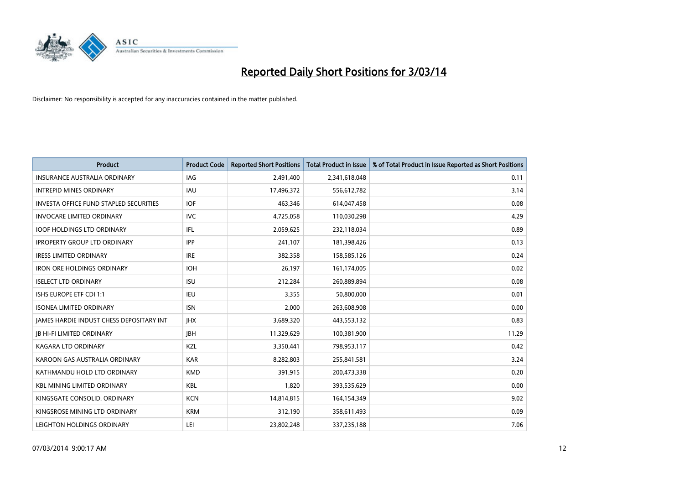

| <b>Product</b>                                  | <b>Product Code</b> | <b>Reported Short Positions</b> | <b>Total Product in Issue</b> | % of Total Product in Issue Reported as Short Positions |
|-------------------------------------------------|---------------------|---------------------------------|-------------------------------|---------------------------------------------------------|
| <b>INSURANCE AUSTRALIA ORDINARY</b>             | IAG                 | 2,491,400                       | 2,341,618,048                 | 0.11                                                    |
| <b>INTREPID MINES ORDINARY</b>                  | <b>IAU</b>          | 17,496,372                      | 556,612,782                   | 3.14                                                    |
| <b>INVESTA OFFICE FUND STAPLED SECURITIES</b>   | <b>IOF</b>          | 463,346                         | 614,047,458                   | 0.08                                                    |
| <b>INVOCARE LIMITED ORDINARY</b>                | <b>IVC</b>          | 4,725,058                       | 110,030,298                   | 4.29                                                    |
| <b>IOOF HOLDINGS LTD ORDINARY</b>               | IFL                 | 2,059,625                       | 232,118,034                   | 0.89                                                    |
| <b>IPROPERTY GROUP LTD ORDINARY</b>             | <b>IPP</b>          | 241,107                         | 181,398,426                   | 0.13                                                    |
| <b>IRESS LIMITED ORDINARY</b>                   | <b>IRE</b>          | 382,358                         | 158,585,126                   | 0.24                                                    |
| <b>IRON ORE HOLDINGS ORDINARY</b>               | <b>IOH</b>          | 26,197                          | 161,174,005                   | 0.02                                                    |
| <b>ISELECT LTD ORDINARY</b>                     | <b>ISU</b>          | 212,284                         | 260,889,894                   | 0.08                                                    |
| <b>ISHS EUROPE ETF CDI 1:1</b>                  | IEU                 | 3,355                           | 50,800,000                    | 0.01                                                    |
| <b>ISONEA LIMITED ORDINARY</b>                  | <b>ISN</b>          | 2,000                           | 263,608,908                   | 0.00                                                    |
| <b>JAMES HARDIE INDUST CHESS DEPOSITARY INT</b> | <b>IHX</b>          | 3,689,320                       | 443,553,132                   | 0.83                                                    |
| <b>IB HI-FI LIMITED ORDINARY</b>                | <b>IBH</b>          | 11,329,629                      | 100,381,900                   | 11.29                                                   |
| <b>KAGARA LTD ORDINARY</b>                      | KZL                 | 3,350,441                       | 798,953,117                   | 0.42                                                    |
| KAROON GAS AUSTRALIA ORDINARY                   | <b>KAR</b>          | 8,282,803                       | 255,841,581                   | 3.24                                                    |
| KATHMANDU HOLD LTD ORDINARY                     | <b>KMD</b>          | 391,915                         | 200,473,338                   | 0.20                                                    |
| <b>KBL MINING LIMITED ORDINARY</b>              | <b>KBL</b>          | 1,820                           | 393,535,629                   | 0.00                                                    |
| KINGSGATE CONSOLID. ORDINARY                    | <b>KCN</b>          | 14,814,815                      | 164,154,349                   | 9.02                                                    |
| KINGSROSE MINING LTD ORDINARY                   | <b>KRM</b>          | 312,190                         | 358,611,493                   | 0.09                                                    |
| LEIGHTON HOLDINGS ORDINARY                      | LEI                 | 23,802,248                      | 337,235,188                   | 7.06                                                    |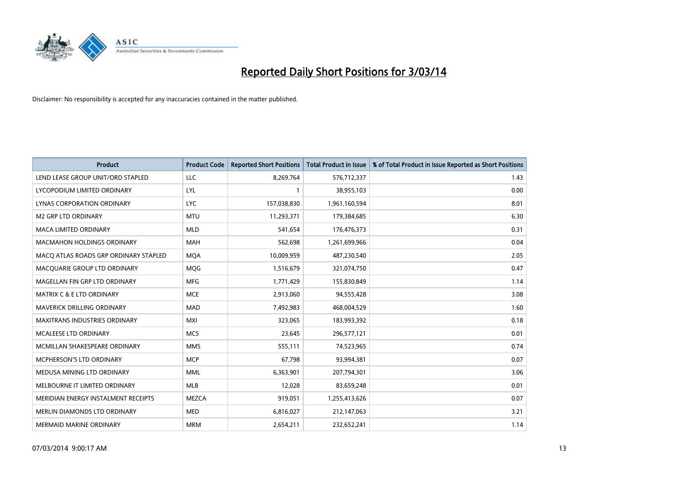

| <b>Product</b>                        | <b>Product Code</b> | <b>Reported Short Positions</b> | <b>Total Product in Issue</b> | % of Total Product in Issue Reported as Short Positions |
|---------------------------------------|---------------------|---------------------------------|-------------------------------|---------------------------------------------------------|
| LEND LEASE GROUP UNIT/ORD STAPLED     | LLC                 | 8,269,764                       | 576,712,337                   | 1.43                                                    |
| LYCOPODIUM LIMITED ORDINARY           | <b>LYL</b>          | $\mathbf{1}$                    | 38,955,103                    | 0.00                                                    |
| LYNAS CORPORATION ORDINARY            | <b>LYC</b>          | 157,038,830                     | 1,961,160,594                 | 8.01                                                    |
| <b>M2 GRP LTD ORDINARY</b>            | <b>MTU</b>          | 11,293,371                      | 179,384,685                   | 6.30                                                    |
| <b>MACA LIMITED ORDINARY</b>          | <b>MLD</b>          | 541,654                         | 176,476,373                   | 0.31                                                    |
| <b>MACMAHON HOLDINGS ORDINARY</b>     | <b>MAH</b>          | 562,698                         | 1,261,699,966                 | 0.04                                                    |
| MACQ ATLAS ROADS GRP ORDINARY STAPLED | <b>MQA</b>          | 10,009,959                      | 487,230,540                   | 2.05                                                    |
| MACQUARIE GROUP LTD ORDINARY          | <b>MQG</b>          | 1,516,679                       | 321,074,750                   | 0.47                                                    |
| MAGELLAN FIN GRP LTD ORDINARY         | <b>MFG</b>          | 1,771,429                       | 155,830,849                   | 1.14                                                    |
| <b>MATRIX C &amp; E LTD ORDINARY</b>  | <b>MCE</b>          | 2,913,060                       | 94,555,428                    | 3.08                                                    |
| MAVERICK DRILLING ORDINARY            | <b>MAD</b>          | 7,492,983                       | 468,004,529                   | 1.60                                                    |
| <b>MAXITRANS INDUSTRIES ORDINARY</b>  | <b>MXI</b>          | 323,065                         | 183,993,392                   | 0.18                                                    |
| MCALEESE LTD ORDINARY                 | <b>MCS</b>          | 23,645                          | 296,577,121                   | 0.01                                                    |
| MCMILLAN SHAKESPEARE ORDINARY         | <b>MMS</b>          | 555,111                         | 74,523,965                    | 0.74                                                    |
| <b>MCPHERSON'S LTD ORDINARY</b>       | <b>MCP</b>          | 67,798                          | 93,994,381                    | 0.07                                                    |
| MEDUSA MINING LTD ORDINARY            | MML                 | 6,363,901                       | 207,794,301                   | 3.06                                                    |
| MELBOURNE IT LIMITED ORDINARY         | MLB                 | 12,028                          | 83,659,248                    | 0.01                                                    |
| MERIDIAN ENERGY INSTALMENT RECEIPTS   | <b>MEZCA</b>        | 919,051                         | 1,255,413,626                 | 0.07                                                    |
| MERLIN DIAMONDS LTD ORDINARY          | <b>MED</b>          | 6,816,027                       | 212,147,063                   | 3.21                                                    |
| <b>MERMAID MARINE ORDINARY</b>        | <b>MRM</b>          | 2,654,211                       | 232,652,241                   | 1.14                                                    |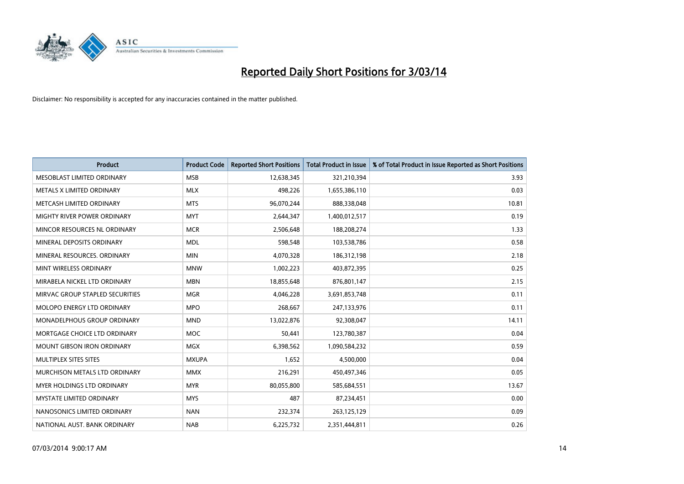

| <b>Product</b>                     | <b>Product Code</b> | <b>Reported Short Positions</b> | <b>Total Product in Issue</b> | % of Total Product in Issue Reported as Short Positions |
|------------------------------------|---------------------|---------------------------------|-------------------------------|---------------------------------------------------------|
| MESOBLAST LIMITED ORDINARY         | <b>MSB</b>          | 12,638,345                      | 321,210,394                   | 3.93                                                    |
| METALS X LIMITED ORDINARY          | <b>MLX</b>          | 498,226                         | 1,655,386,110                 | 0.03                                                    |
| METCASH LIMITED ORDINARY           | <b>MTS</b>          | 96,070,244                      | 888,338,048                   | 10.81                                                   |
| MIGHTY RIVER POWER ORDINARY        | <b>MYT</b>          | 2,644,347                       | 1,400,012,517                 | 0.19                                                    |
| MINCOR RESOURCES NL ORDINARY       | <b>MCR</b>          | 2,506,648                       | 188,208,274                   | 1.33                                                    |
| MINERAL DEPOSITS ORDINARY          | <b>MDL</b>          | 598,548                         | 103,538,786                   | 0.58                                                    |
| MINERAL RESOURCES, ORDINARY        | <b>MIN</b>          | 4,070,328                       | 186,312,198                   | 2.18                                                    |
| MINT WIRELESS ORDINARY             | <b>MNW</b>          | 1,002,223                       | 403,872,395                   | 0.25                                                    |
| MIRABELA NICKEL LTD ORDINARY       | <b>MBN</b>          | 18,855,648                      | 876,801,147                   | 2.15                                                    |
| MIRVAC GROUP STAPLED SECURITIES    | <b>MGR</b>          | 4,046,228                       | 3,691,853,748                 | 0.11                                                    |
| MOLOPO ENERGY LTD ORDINARY         | <b>MPO</b>          | 268,667                         | 247,133,976                   | 0.11                                                    |
| <b>MONADELPHOUS GROUP ORDINARY</b> | <b>MND</b>          | 13,022,876                      | 92,308,047                    | 14.11                                                   |
| MORTGAGE CHOICE LTD ORDINARY       | <b>MOC</b>          | 50,441                          | 123,780,387                   | 0.04                                                    |
| <b>MOUNT GIBSON IRON ORDINARY</b>  | <b>MGX</b>          | 6,398,562                       | 1,090,584,232                 | 0.59                                                    |
| MULTIPLEX SITES SITES              | <b>MXUPA</b>        | 1,652                           | 4,500,000                     | 0.04                                                    |
| MURCHISON METALS LTD ORDINARY      | <b>MMX</b>          | 216,291                         | 450,497,346                   | 0.05                                                    |
| MYER HOLDINGS LTD ORDINARY         | <b>MYR</b>          | 80,055,800                      | 585,684,551                   | 13.67                                                   |
| <b>MYSTATE LIMITED ORDINARY</b>    | <b>MYS</b>          | 487                             | 87,234,451                    | 0.00                                                    |
| NANOSONICS LIMITED ORDINARY        | <b>NAN</b>          | 232,374                         | 263,125,129                   | 0.09                                                    |
| NATIONAL AUST. BANK ORDINARY       | <b>NAB</b>          | 6,225,732                       | 2,351,444,811                 | 0.26                                                    |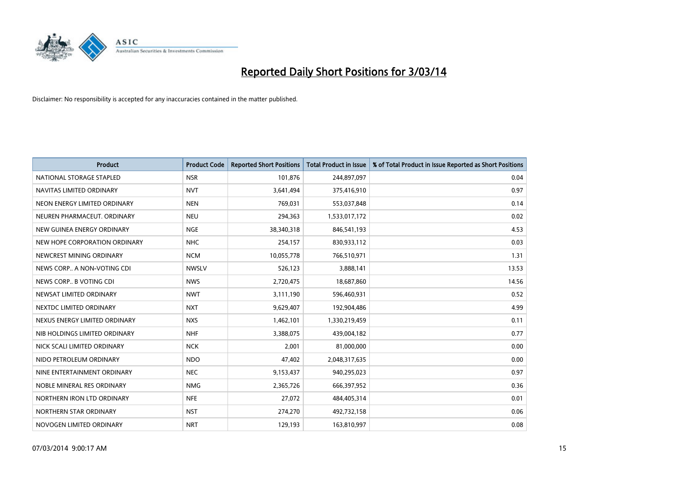

| <b>Product</b>                | <b>Product Code</b> | <b>Reported Short Positions</b> | <b>Total Product in Issue</b> | % of Total Product in Issue Reported as Short Positions |
|-------------------------------|---------------------|---------------------------------|-------------------------------|---------------------------------------------------------|
| NATIONAL STORAGE STAPLED      | <b>NSR</b>          | 101,876                         | 244,897,097                   | 0.04                                                    |
| NAVITAS LIMITED ORDINARY      | <b>NVT</b>          | 3,641,494                       | 375,416,910                   | 0.97                                                    |
| NEON ENERGY LIMITED ORDINARY  | <b>NEN</b>          | 769,031                         | 553,037,848                   | 0.14                                                    |
| NEUREN PHARMACEUT. ORDINARY   | <b>NEU</b>          | 294,363                         | 1,533,017,172                 | 0.02                                                    |
| NEW GUINEA ENERGY ORDINARY    | <b>NGE</b>          | 38,340,318                      | 846,541,193                   | 4.53                                                    |
| NEW HOPE CORPORATION ORDINARY | <b>NHC</b>          | 254,157                         | 830,933,112                   | 0.03                                                    |
| NEWCREST MINING ORDINARY      | <b>NCM</b>          | 10,055,778                      | 766,510,971                   | 1.31                                                    |
| NEWS CORP A NON-VOTING CDI    | <b>NWSLV</b>        | 526,123                         | 3,888,141                     | 13.53                                                   |
| NEWS CORP B VOTING CDI        | <b>NWS</b>          | 2,720,475                       | 18,687,860                    | 14.56                                                   |
| NEWSAT LIMITED ORDINARY       | <b>NWT</b>          | 3,111,190                       | 596,460,931                   | 0.52                                                    |
| NEXTDC LIMITED ORDINARY       | <b>NXT</b>          | 9,629,407                       | 192,904,486                   | 4.99                                                    |
| NEXUS ENERGY LIMITED ORDINARY | <b>NXS</b>          | 1,462,101                       | 1,330,219,459                 | 0.11                                                    |
| NIB HOLDINGS LIMITED ORDINARY | <b>NHF</b>          | 3,388,075                       | 439,004,182                   | 0.77                                                    |
| NICK SCALI LIMITED ORDINARY   | <b>NCK</b>          | 2,001                           | 81,000,000                    | 0.00                                                    |
| NIDO PETROLEUM ORDINARY       | <b>NDO</b>          | 47,402                          | 2,048,317,635                 | 0.00                                                    |
| NINE ENTERTAINMENT ORDINARY   | <b>NEC</b>          | 9,153,437                       | 940,295,023                   | 0.97                                                    |
| NOBLE MINERAL RES ORDINARY    | <b>NMG</b>          | 2,365,726                       | 666,397,952                   | 0.36                                                    |
| NORTHERN IRON LTD ORDINARY    | <b>NFE</b>          | 27,072                          | 484,405,314                   | 0.01                                                    |
| NORTHERN STAR ORDINARY        | <b>NST</b>          | 274,270                         | 492,732,158                   | 0.06                                                    |
| NOVOGEN LIMITED ORDINARY      | <b>NRT</b>          | 129,193                         | 163,810,997                   | 0.08                                                    |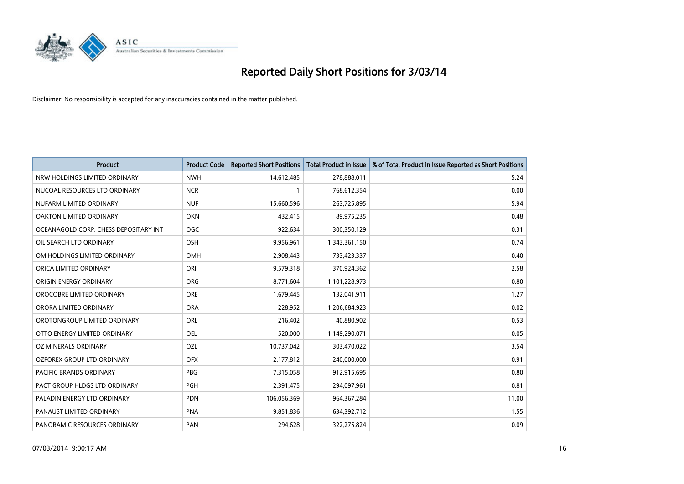

| <b>Product</b>                        | <b>Product Code</b> | <b>Reported Short Positions</b> | <b>Total Product in Issue</b> | % of Total Product in Issue Reported as Short Positions |
|---------------------------------------|---------------------|---------------------------------|-------------------------------|---------------------------------------------------------|
| NRW HOLDINGS LIMITED ORDINARY         | <b>NWH</b>          | 14,612,485                      | 278,888,011                   | 5.24                                                    |
| NUCOAL RESOURCES LTD ORDINARY         | <b>NCR</b>          |                                 | 768,612,354                   | 0.00                                                    |
| NUFARM LIMITED ORDINARY               | <b>NUF</b>          | 15,660,596                      | 263,725,895                   | 5.94                                                    |
| OAKTON LIMITED ORDINARY               | <b>OKN</b>          | 432,415                         | 89,975,235                    | 0.48                                                    |
| OCEANAGOLD CORP. CHESS DEPOSITARY INT | <b>OGC</b>          | 922,634                         | 300,350,129                   | 0.31                                                    |
| OIL SEARCH LTD ORDINARY               | OSH                 | 9,956,961                       | 1,343,361,150                 | 0.74                                                    |
| OM HOLDINGS LIMITED ORDINARY          | OMH                 | 2,908,443                       | 733,423,337                   | 0.40                                                    |
| ORICA LIMITED ORDINARY                | ORI                 | 9,579,318                       | 370,924,362                   | 2.58                                                    |
| ORIGIN ENERGY ORDINARY                | <b>ORG</b>          | 8,771,604                       | 1,101,228,973                 | 0.80                                                    |
| OROCOBRE LIMITED ORDINARY             | <b>ORE</b>          | 1,679,445                       | 132,041,911                   | 1.27                                                    |
| ORORA LIMITED ORDINARY                | <b>ORA</b>          | 228,952                         | 1,206,684,923                 | 0.02                                                    |
| OROTONGROUP LIMITED ORDINARY          | ORL                 | 216,402                         | 40,880,902                    | 0.53                                                    |
| OTTO ENERGY LIMITED ORDINARY          | <b>OEL</b>          | 520,000                         | 1,149,290,071                 | 0.05                                                    |
| <b>OZ MINERALS ORDINARY</b>           | OZL                 | 10,737,042                      | 303,470,022                   | 3.54                                                    |
| OZFOREX GROUP LTD ORDINARY            | <b>OFX</b>          | 2,177,812                       | 240,000,000                   | 0.91                                                    |
| PACIFIC BRANDS ORDINARY               | <b>PBG</b>          | 7,315,058                       | 912,915,695                   | 0.80                                                    |
| PACT GROUP HLDGS LTD ORDINARY         | PGH                 | 2,391,475                       | 294,097,961                   | 0.81                                                    |
| PALADIN ENERGY LTD ORDINARY           | <b>PDN</b>          | 106,056,369                     | 964,367,284                   | 11.00                                                   |
| PANAUST LIMITED ORDINARY              | <b>PNA</b>          | 9,851,836                       | 634,392,712                   | 1.55                                                    |
| PANORAMIC RESOURCES ORDINARY          | PAN                 | 294,628                         | 322,275,824                   | 0.09                                                    |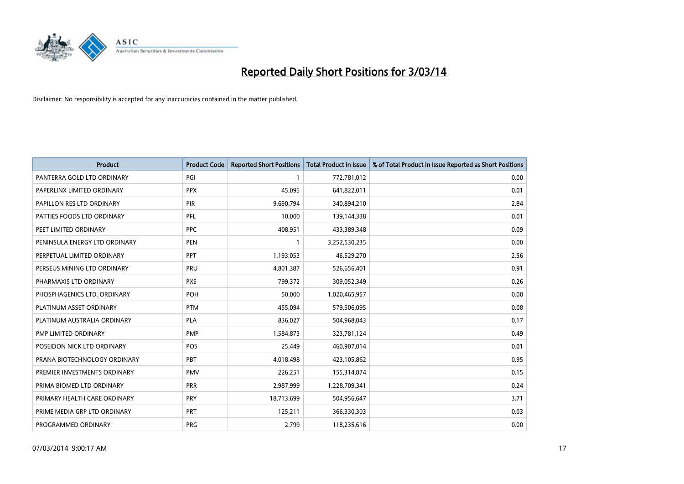

| <b>Product</b>                | <b>Product Code</b> | <b>Reported Short Positions</b> | <b>Total Product in Issue</b> | % of Total Product in Issue Reported as Short Positions |
|-------------------------------|---------------------|---------------------------------|-------------------------------|---------------------------------------------------------|
| PANTERRA GOLD LTD ORDINARY    | PGI                 | 1                               | 772,781,012                   | 0.00                                                    |
| PAPERLINX LIMITED ORDINARY    | <b>PPX</b>          | 45,095                          | 641,822,011                   | 0.01                                                    |
| PAPILLON RES LTD ORDINARY     | PIR                 | 9,690,794                       | 340,894,210                   | 2.84                                                    |
| PATTIES FOODS LTD ORDINARY    | <b>PFL</b>          | 10,000                          | 139,144,338                   | 0.01                                                    |
| PEET LIMITED ORDINARY         | <b>PPC</b>          | 408,951                         | 433,389,348                   | 0.09                                                    |
| PENINSULA ENERGY LTD ORDINARY | PEN                 | 1                               | 3,252,530,235                 | 0.00                                                    |
| PERPETUAL LIMITED ORDINARY    | PPT                 | 1,193,053                       | 46,529,270                    | 2.56                                                    |
| PERSEUS MINING LTD ORDINARY   | PRU                 | 4,801,387                       | 526,656,401                   | 0.91                                                    |
| PHARMAXIS LTD ORDINARY        | <b>PXS</b>          | 799,372                         | 309,052,349                   | 0.26                                                    |
| PHOSPHAGENICS LTD. ORDINARY   | POH                 | 50,000                          | 1,020,465,957                 | 0.00                                                    |
| PLATINUM ASSET ORDINARY       | <b>PTM</b>          | 455,094                         | 579,506,095                   | 0.08                                                    |
| PLATINUM AUSTRALIA ORDINARY   | <b>PLA</b>          | 836,027                         | 504,968,043                   | 0.17                                                    |
| PMP LIMITED ORDINARY          | <b>PMP</b>          | 1,584,873                       | 323,781,124                   | 0.49                                                    |
| POSEIDON NICK LTD ORDINARY    | <b>POS</b>          | 25,449                          | 460,907,014                   | 0.01                                                    |
| PRANA BIOTECHNOLOGY ORDINARY  | PBT                 | 4,018,498                       | 423,105,862                   | 0.95                                                    |
| PREMIER INVESTMENTS ORDINARY  | <b>PMV</b>          | 226,251                         | 155,314,874                   | 0.15                                                    |
| PRIMA BIOMED LTD ORDINARY     | <b>PRR</b>          | 2,987,999                       | 1,228,709,341                 | 0.24                                                    |
| PRIMARY HEALTH CARE ORDINARY  | <b>PRY</b>          | 18,713,699                      | 504,956,647                   | 3.71                                                    |
| PRIME MEDIA GRP LTD ORDINARY  | <b>PRT</b>          | 125,211                         | 366,330,303                   | 0.03                                                    |
| PROGRAMMED ORDINARY           | <b>PRG</b>          | 2,799                           | 118,235,616                   | 0.00                                                    |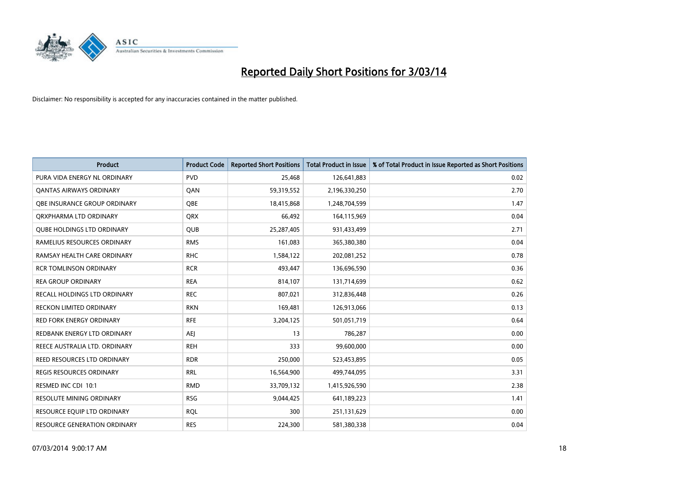

| <b>Product</b>                      | <b>Product Code</b> | <b>Reported Short Positions</b> | <b>Total Product in Issue</b> | % of Total Product in Issue Reported as Short Positions |
|-------------------------------------|---------------------|---------------------------------|-------------------------------|---------------------------------------------------------|
| PURA VIDA ENERGY NL ORDINARY        | <b>PVD</b>          | 25,468                          | 126,641,883                   | 0.02                                                    |
| <b>QANTAS AIRWAYS ORDINARY</b>      | QAN                 | 59,319,552                      | 2,196,330,250                 | 2.70                                                    |
| <b>OBE INSURANCE GROUP ORDINARY</b> | OBE                 | 18,415,868                      | 1,248,704,599                 | 1.47                                                    |
| ORXPHARMA LTD ORDINARY              | QRX                 | 66,492                          | 164,115,969                   | 0.04                                                    |
| <b>QUBE HOLDINGS LTD ORDINARY</b>   | <b>QUB</b>          | 25,287,405                      | 931,433,499                   | 2.71                                                    |
| RAMELIUS RESOURCES ORDINARY         | <b>RMS</b>          | 161,083                         | 365,380,380                   | 0.04                                                    |
| RAMSAY HEALTH CARE ORDINARY         | <b>RHC</b>          | 1,584,122                       | 202,081,252                   | 0.78                                                    |
| <b>RCR TOMLINSON ORDINARY</b>       | <b>RCR</b>          | 493,447                         | 136,696,590                   | 0.36                                                    |
| <b>REA GROUP ORDINARY</b>           | <b>REA</b>          | 814,107                         | 131,714,699                   | 0.62                                                    |
| RECALL HOLDINGS LTD ORDINARY        | <b>REC</b>          | 807,021                         | 312,836,448                   | 0.26                                                    |
| RECKON LIMITED ORDINARY             | <b>RKN</b>          | 169,481                         | 126,913,066                   | 0.13                                                    |
| <b>RED FORK ENERGY ORDINARY</b>     | <b>RFE</b>          | 3,204,125                       | 501,051,719                   | 0.64                                                    |
| REDBANK ENERGY LTD ORDINARY         | <b>AEI</b>          | 13                              | 786,287                       | 0.00                                                    |
| REECE AUSTRALIA LTD. ORDINARY       | <b>REH</b>          | 333                             | 99,600,000                    | 0.00                                                    |
| REED RESOURCES LTD ORDINARY         | <b>RDR</b>          | 250,000                         | 523,453,895                   | 0.05                                                    |
| REGIS RESOURCES ORDINARY            | <b>RRL</b>          | 16,564,900                      | 499,744,095                   | 3.31                                                    |
| RESMED INC CDI 10:1                 | <b>RMD</b>          | 33,709,132                      | 1,415,926,590                 | 2.38                                                    |
| RESOLUTE MINING ORDINARY            | <b>RSG</b>          | 9,044,425                       | 641,189,223                   | 1.41                                                    |
| RESOURCE EQUIP LTD ORDINARY         | <b>ROL</b>          | 300                             | 251,131,629                   | 0.00                                                    |
| RESOURCE GENERATION ORDINARY        | <b>RES</b>          | 224,300                         | 581,380,338                   | 0.04                                                    |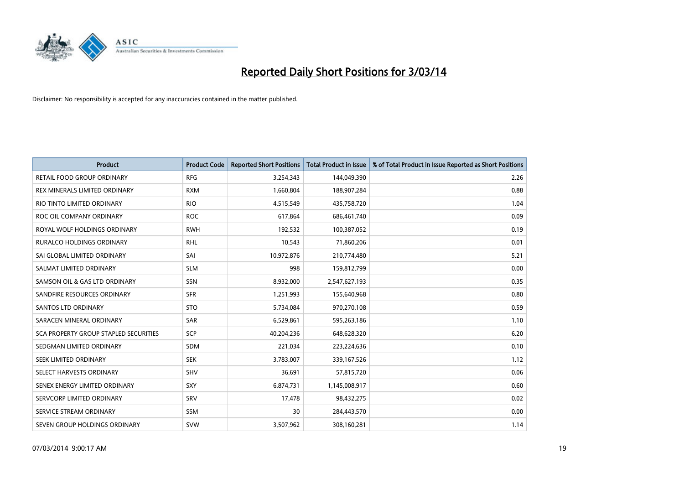

| <b>Product</b>                        | <b>Product Code</b> | <b>Reported Short Positions</b> | <b>Total Product in Issue</b> | % of Total Product in Issue Reported as Short Positions |
|---------------------------------------|---------------------|---------------------------------|-------------------------------|---------------------------------------------------------|
| <b>RETAIL FOOD GROUP ORDINARY</b>     | <b>RFG</b>          | 3,254,343                       | 144,049,390                   | 2.26                                                    |
| REX MINERALS LIMITED ORDINARY         | <b>RXM</b>          | 1,660,804                       | 188,907,284                   | 0.88                                                    |
| RIO TINTO LIMITED ORDINARY            | <b>RIO</b>          | 4,515,549                       | 435,758,720                   | 1.04                                                    |
| ROC OIL COMPANY ORDINARY              | <b>ROC</b>          | 617,864                         | 686,461,740                   | 0.09                                                    |
| ROYAL WOLF HOLDINGS ORDINARY          | <b>RWH</b>          | 192,532                         | 100,387,052                   | 0.19                                                    |
| <b>RURALCO HOLDINGS ORDINARY</b>      | <b>RHL</b>          | 10,543                          | 71,860,206                    | 0.01                                                    |
| SAI GLOBAL LIMITED ORDINARY           | SAI                 | 10,972,876                      | 210,774,480                   | 5.21                                                    |
| SALMAT LIMITED ORDINARY               | <b>SLM</b>          | 998                             | 159,812,799                   | 0.00                                                    |
| SAMSON OIL & GAS LTD ORDINARY         | SSN                 | 8,932,000                       | 2,547,627,193                 | 0.35                                                    |
| SANDFIRE RESOURCES ORDINARY           | <b>SFR</b>          | 1,251,993                       | 155,640,968                   | 0.80                                                    |
| SANTOS LTD ORDINARY                   | <b>STO</b>          | 5,734,084                       | 970,270,108                   | 0.59                                                    |
| SARACEN MINERAL ORDINARY              | SAR                 | 6,529,861                       | 595,263,186                   | 1.10                                                    |
| SCA PROPERTY GROUP STAPLED SECURITIES | <b>SCP</b>          | 40,204,236                      | 648,628,320                   | 6.20                                                    |
| SEDGMAN LIMITED ORDINARY              | SDM                 | 221,034                         | 223,224,636                   | 0.10                                                    |
| SEEK LIMITED ORDINARY                 | <b>SEK</b>          | 3,783,007                       | 339,167,526                   | 1.12                                                    |
| SELECT HARVESTS ORDINARY              | SHV                 | 36,691                          | 57,815,720                    | 0.06                                                    |
| SENEX ENERGY LIMITED ORDINARY         | SXY                 | 6,874,731                       | 1,145,008,917                 | 0.60                                                    |
| SERVCORP LIMITED ORDINARY             | SRV                 | 17,478                          | 98,432,275                    | 0.02                                                    |
| SERVICE STREAM ORDINARY               | <b>SSM</b>          | 30                              | 284,443,570                   | 0.00                                                    |
| SEVEN GROUP HOLDINGS ORDINARY         | <b>SVW</b>          | 3,507,962                       | 308,160,281                   | 1.14                                                    |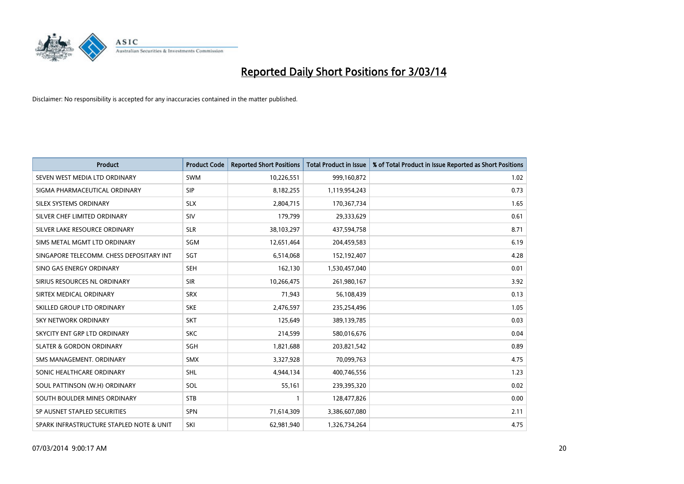

| <b>Product</b>                           | <b>Product Code</b> | <b>Reported Short Positions</b> | <b>Total Product in Issue</b> | % of Total Product in Issue Reported as Short Positions |
|------------------------------------------|---------------------|---------------------------------|-------------------------------|---------------------------------------------------------|
| SEVEN WEST MEDIA LTD ORDINARY            | <b>SWM</b>          | 10,226,551                      | 999,160,872                   | 1.02                                                    |
| SIGMA PHARMACEUTICAL ORDINARY            | <b>SIP</b>          | 8,182,255                       | 1,119,954,243                 | 0.73                                                    |
| SILEX SYSTEMS ORDINARY                   | <b>SLX</b>          | 2,804,715                       | 170,367,734                   | 1.65                                                    |
| SILVER CHEF LIMITED ORDINARY             | <b>SIV</b>          | 179,799                         | 29,333,629                    | 0.61                                                    |
| SILVER LAKE RESOURCE ORDINARY            | <b>SLR</b>          | 38,103,297                      | 437,594,758                   | 8.71                                                    |
| SIMS METAL MGMT LTD ORDINARY             | SGM                 | 12,651,464                      | 204,459,583                   | 6.19                                                    |
| SINGAPORE TELECOMM. CHESS DEPOSITARY INT | SGT                 | 6,514,068                       | 152,192,407                   | 4.28                                                    |
| SINO GAS ENERGY ORDINARY                 | <b>SEH</b>          | 162,130                         | 1,530,457,040                 | 0.01                                                    |
| SIRIUS RESOURCES NL ORDINARY             | <b>SIR</b>          | 10,266,475                      | 261,980,167                   | 3.92                                                    |
| SIRTEX MEDICAL ORDINARY                  | <b>SRX</b>          | 71,943                          | 56,108,439                    | 0.13                                                    |
| SKILLED GROUP LTD ORDINARY               | <b>SKE</b>          | 2,476,597                       | 235,254,496                   | 1.05                                                    |
| <b>SKY NETWORK ORDINARY</b>              | <b>SKT</b>          | 125,649                         | 389,139,785                   | 0.03                                                    |
| SKYCITY ENT GRP LTD ORDINARY             | <b>SKC</b>          | 214,599                         | 580,016,676                   | 0.04                                                    |
| <b>SLATER &amp; GORDON ORDINARY</b>      | <b>SGH</b>          | 1,821,688                       | 203,821,542                   | 0.89                                                    |
| SMS MANAGEMENT, ORDINARY                 | <b>SMX</b>          | 3,327,928                       | 70,099,763                    | 4.75                                                    |
| SONIC HEALTHCARE ORDINARY                | <b>SHL</b>          | 4,944,134                       | 400,746,556                   | 1.23                                                    |
| SOUL PATTINSON (W.H) ORDINARY            | SOL                 | 55,161                          | 239,395,320                   | 0.02                                                    |
| SOUTH BOULDER MINES ORDINARY             | <b>STB</b>          | 1                               | 128,477,826                   | 0.00                                                    |
| SP AUSNET STAPLED SECURITIES             | SPN                 | 71,614,309                      | 3,386,607,080                 | 2.11                                                    |
| SPARK INFRASTRUCTURE STAPLED NOTE & UNIT | SKI                 | 62,981,940                      | 1,326,734,264                 | 4.75                                                    |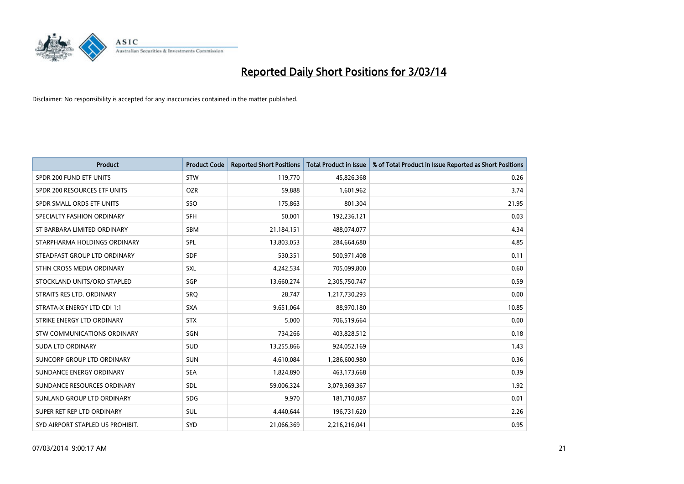

| <b>Product</b>                   | <b>Product Code</b> | <b>Reported Short Positions</b> | <b>Total Product in Issue</b> | % of Total Product in Issue Reported as Short Positions |
|----------------------------------|---------------------|---------------------------------|-------------------------------|---------------------------------------------------------|
| SPDR 200 FUND ETF UNITS          | <b>STW</b>          | 119,770                         | 45,826,368                    | 0.26                                                    |
| SPDR 200 RESOURCES ETF UNITS     | <b>OZR</b>          | 59,888                          | 1,601,962                     | 3.74                                                    |
| SPDR SMALL ORDS ETF UNITS        | <b>SSO</b>          | 175,863                         | 801,304                       | 21.95                                                   |
| SPECIALTY FASHION ORDINARY       | <b>SFH</b>          | 50,001                          | 192,236,121                   | 0.03                                                    |
| ST BARBARA LIMITED ORDINARY      | <b>SBM</b>          | 21,184,151                      | 488,074,077                   | 4.34                                                    |
| STARPHARMA HOLDINGS ORDINARY     | SPL                 | 13,803,053                      | 284,664,680                   | 4.85                                                    |
| STEADFAST GROUP LTD ORDINARY     | <b>SDF</b>          | 530,351                         | 500,971,408                   | 0.11                                                    |
| STHN CROSS MEDIA ORDINARY        | <b>SXL</b>          | 4,242,534                       | 705,099,800                   | 0.60                                                    |
| STOCKLAND UNITS/ORD STAPLED      | SGP                 | 13,660,274                      | 2,305,750,747                 | 0.59                                                    |
| STRAITS RES LTD. ORDINARY        | SRO                 | 28,747                          | 1,217,730,293                 | 0.00                                                    |
| STRATA-X ENERGY LTD CDI 1:1      | <b>SXA</b>          | 9,651,064                       | 88,970,180                    | 10.85                                                   |
| STRIKE ENERGY LTD ORDINARY       | <b>STX</b>          | 5,000                           | 706,519,664                   | 0.00                                                    |
| STW COMMUNICATIONS ORDINARY      | SGN                 | 734,266                         | 403,828,512                   | 0.18                                                    |
| <b>SUDA LTD ORDINARY</b>         | SUD                 | 13,255,866                      | 924,052,169                   | 1.43                                                    |
| SUNCORP GROUP LTD ORDINARY       | <b>SUN</b>          | 4,610,084                       | 1,286,600,980                 | 0.36                                                    |
| SUNDANCE ENERGY ORDINARY         | <b>SEA</b>          | 1,824,890                       | 463,173,668                   | 0.39                                                    |
| SUNDANCE RESOURCES ORDINARY      | SDL                 | 59,006,324                      | 3,079,369,367                 | 1.92                                                    |
| SUNLAND GROUP LTD ORDINARY       | <b>SDG</b>          | 9,970                           | 181,710,087                   | 0.01                                                    |
| SUPER RET REP LTD ORDINARY       | SUL                 | 4,440,644                       | 196,731,620                   | 2.26                                                    |
| SYD AIRPORT STAPLED US PROHIBIT. | SYD                 | 21,066,369                      | 2,216,216,041                 | 0.95                                                    |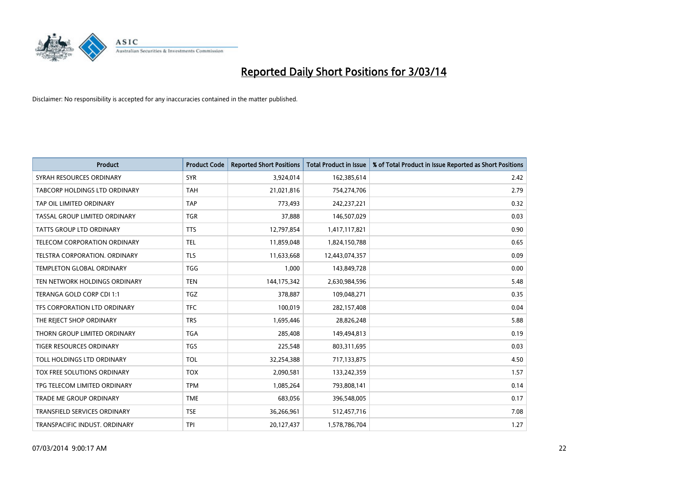

| <b>Product</b>                       | <b>Product Code</b> | <b>Reported Short Positions</b> | <b>Total Product in Issue</b> | % of Total Product in Issue Reported as Short Positions |
|--------------------------------------|---------------------|---------------------------------|-------------------------------|---------------------------------------------------------|
| SYRAH RESOURCES ORDINARY             | <b>SYR</b>          | 3,924,014                       | 162,385,614                   | 2.42                                                    |
| <b>TABCORP HOLDINGS LTD ORDINARY</b> | <b>TAH</b>          | 21,021,816                      | 754,274,706                   | 2.79                                                    |
| TAP OIL LIMITED ORDINARY             | <b>TAP</b>          | 773,493                         | 242,237,221                   | 0.32                                                    |
| TASSAL GROUP LIMITED ORDINARY        | <b>TGR</b>          | 37,888                          | 146,507,029                   | 0.03                                                    |
| <b>TATTS GROUP LTD ORDINARY</b>      | <b>TTS</b>          | 12,797,854                      | 1,417,117,821                 | 0.90                                                    |
| TELECOM CORPORATION ORDINARY         | <b>TEL</b>          | 11,859,048                      | 1,824,150,788                 | 0.65                                                    |
| TELSTRA CORPORATION, ORDINARY        | <b>TLS</b>          | 11,633,668                      | 12,443,074,357                | 0.09                                                    |
| <b>TEMPLETON GLOBAL ORDINARY</b>     | <b>TGG</b>          | 1,000                           | 143,849,728                   | 0.00                                                    |
| TEN NETWORK HOLDINGS ORDINARY        | <b>TEN</b>          | 144, 175, 342                   | 2,630,984,596                 | 5.48                                                    |
| TERANGA GOLD CORP CDI 1:1            | <b>TGZ</b>          | 378,887                         | 109,048,271                   | 0.35                                                    |
| TFS CORPORATION LTD ORDINARY         | <b>TFC</b>          | 100,019                         | 282,157,408                   | 0.04                                                    |
| THE REJECT SHOP ORDINARY             | <b>TRS</b>          | 1,695,446                       | 28,826,248                    | 5.88                                                    |
| THORN GROUP LIMITED ORDINARY         | <b>TGA</b>          | 285,408                         | 149,494,813                   | 0.19                                                    |
| <b>TIGER RESOURCES ORDINARY</b>      | <b>TGS</b>          | 225,548                         | 803,311,695                   | 0.03                                                    |
| TOLL HOLDINGS LTD ORDINARY           | <b>TOL</b>          | 32,254,388                      | 717,133,875                   | 4.50                                                    |
| TOX FREE SOLUTIONS ORDINARY          | <b>TOX</b>          | 2,090,581                       | 133,242,359                   | 1.57                                                    |
| TPG TELECOM LIMITED ORDINARY         | <b>TPM</b>          | 1,085,264                       | 793,808,141                   | 0.14                                                    |
| <b>TRADE ME GROUP ORDINARY</b>       | <b>TME</b>          | 683,056                         | 396,548,005                   | 0.17                                                    |
| <b>TRANSFIELD SERVICES ORDINARY</b>  | <b>TSE</b>          | 36,266,961                      | 512,457,716                   | 7.08                                                    |
| TRANSPACIFIC INDUST. ORDINARY        | <b>TPI</b>          | 20,127,437                      | 1,578,786,704                 | 1.27                                                    |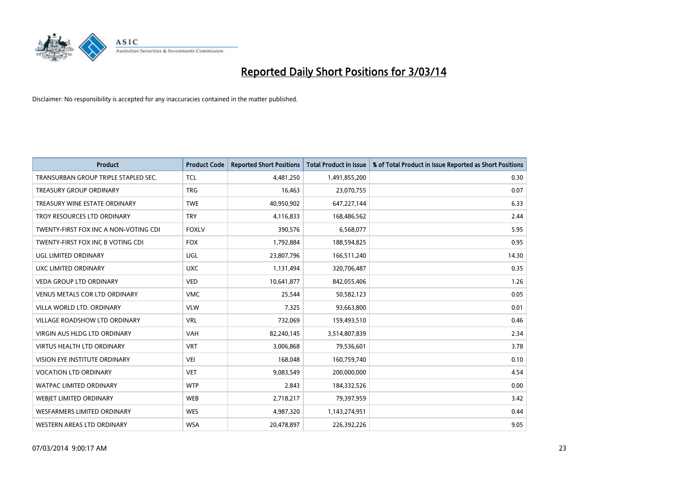

| <b>Product</b>                        | <b>Product Code</b> | <b>Reported Short Positions</b> | <b>Total Product in Issue</b> | % of Total Product in Issue Reported as Short Positions |
|---------------------------------------|---------------------|---------------------------------|-------------------------------|---------------------------------------------------------|
| TRANSURBAN GROUP TRIPLE STAPLED SEC.  | <b>TCL</b>          | 4,481,250                       | 1,491,855,200                 | 0.30                                                    |
| TREASURY GROUP ORDINARY               | <b>TRG</b>          | 16,463                          | 23,070,755                    | 0.07                                                    |
| TREASURY WINE ESTATE ORDINARY         | <b>TWE</b>          | 40,950,902                      | 647,227,144                   | 6.33                                                    |
| TROY RESOURCES LTD ORDINARY           | <b>TRY</b>          | 4,116,833                       | 168,486,562                   | 2.44                                                    |
| TWENTY-FIRST FOX INC A NON-VOTING CDI | <b>FOXLV</b>        | 390,576                         | 6,568,077                     | 5.95                                                    |
| TWENTY-FIRST FOX INC B VOTING CDI     | <b>FOX</b>          | 1,792,884                       | 188,594,825                   | 0.95                                                    |
| UGL LIMITED ORDINARY                  | UGL                 | 23,807,796                      | 166,511,240                   | 14.30                                                   |
| UXC LIMITED ORDINARY                  | <b>UXC</b>          | 1,131,494                       | 320,706,487                   | 0.35                                                    |
| <b>VEDA GROUP LTD ORDINARY</b>        | <b>VED</b>          | 10,641,877                      | 842,055,406                   | 1.26                                                    |
| <b>VENUS METALS COR LTD ORDINARY</b>  | <b>VMC</b>          | 25,544                          | 50,582,123                    | 0.05                                                    |
| VILLA WORLD LTD. ORDINARY             | <b>VLW</b>          | 7,325                           | 93,663,800                    | 0.01                                                    |
| VILLAGE ROADSHOW LTD ORDINARY         | <b>VRL</b>          | 732,069                         | 159,493,510                   | 0.46                                                    |
| <b>VIRGIN AUS HLDG LTD ORDINARY</b>   | <b>VAH</b>          | 82,240,145                      | 3,514,807,839                 | 2.34                                                    |
| <b>VIRTUS HEALTH LTD ORDINARY</b>     | <b>VRT</b>          | 3,006,868                       | 79,536,601                    | 3.78                                                    |
| VISION EYE INSTITUTE ORDINARY         | VEI                 | 168,048                         | 160,759,740                   | 0.10                                                    |
| <b>VOCATION LTD ORDINARY</b>          | <b>VET</b>          | 9,083,549                       | 200,000,000                   | 4.54                                                    |
| WATPAC LIMITED ORDINARY               | <b>WTP</b>          | 2,843                           | 184,332,526                   | 0.00                                                    |
| <b>WEBIET LIMITED ORDINARY</b>        | <b>WEB</b>          | 2,718,217                       | 79,397,959                    | 3.42                                                    |
| WESFARMERS LIMITED ORDINARY           | <b>WES</b>          | 4,987,320                       | 1,143,274,951                 | 0.44                                                    |
| WESTERN AREAS LTD ORDINARY            | <b>WSA</b>          | 20,478,897                      | 226,392,226                   | 9.05                                                    |